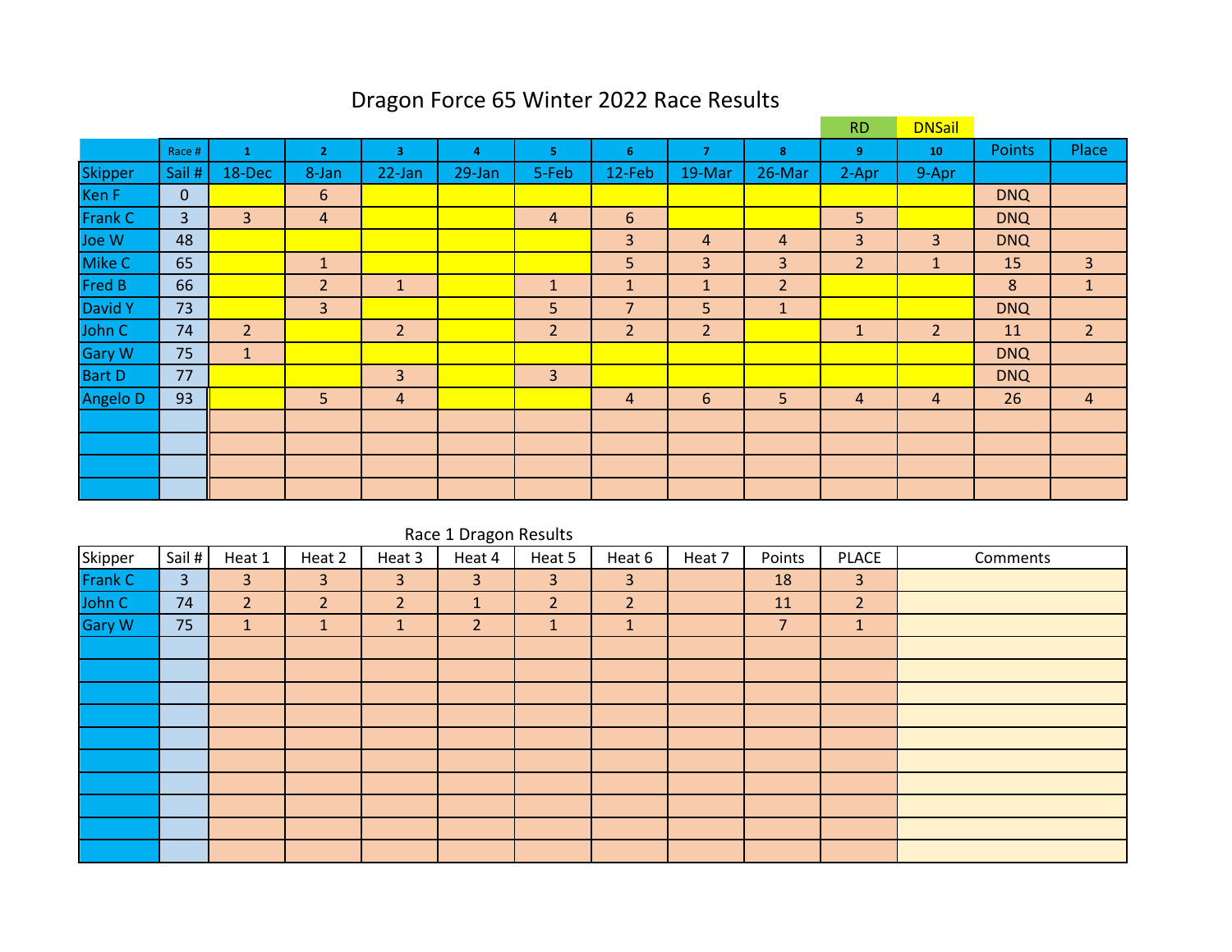## Dragon Force 65 Winter 2022 Race Results

|                 |              |                |                 |                | <b>RD</b> | <b>DNSail</b>  |                |                         |                |                |                |            |                |
|-----------------|--------------|----------------|-----------------|----------------|-----------|----------------|----------------|-------------------------|----------------|----------------|----------------|------------|----------------|
|                 | Race #       | 1              | $\overline{2}$  | 3.             | 4         | 5.             | 6              | $\overline{\mathbf{z}}$ | 8              | 9              | 10             | Points     | Place          |
| Skipper         | Sail #       | 18-Dec         | 8-Jan           | 22-Jan         | 29-Jan    | 5-Feb          | 12-Feb         | 19-Mar                  | 26-Mar         | 2-Apr          | 9-Apr          |            |                |
| Ken F           | $\mathbf{0}$ |                | $6\phantom{1}6$ |                |           |                |                |                         |                |                |                | <b>DNQ</b> |                |
| <b>Frank C</b>  | 3            | 3              | $\overline{a}$  |                |           | 4              | $6\phantom{1}$ |                         |                | 5              |                | <b>DNQ</b> |                |
| Joe W           | 48           |                |                 |                |           |                | 3              | 4                       | 4              | 3              | 3              | <b>DNQ</b> |                |
| Mike C          | 65           |                | $\mathbf{1}$    |                |           |                | 5              | 3                       | $\overline{3}$ | $\overline{2}$ | $\mathbf{1}$   | 15         | 3              |
| <b>Fred B</b>   | 66           |                | $\overline{2}$  | $\mathbf{1}$   |           | $\mathbf{1}$   | $\mathbf{1}$   | $\mathbf{1}$            | $\overline{2}$ |                |                | 8          | $\mathbf{1}$   |
| David Y         | 73           |                | 3               |                |           | 5              | $\overline{7}$ | 5                       | $\mathbf{1}$   |                |                | <b>DNQ</b> |                |
| John C          | 74           | $\overline{2}$ |                 | $\overline{2}$ |           | $\overline{2}$ | $\overline{2}$ | $\overline{2}$          |                | $\mathbf{1}$   | $\overline{2}$ | 11         | 2 <sup>1</sup> |
| <b>Gary W</b>   | 75           | $\mathbf{1}$   |                 |                |           |                |                |                         |                |                |                | <b>DNQ</b> |                |
| <b>Bart D</b>   | 77           |                |                 | 3              |           | 3              |                |                         |                |                |                | <b>DNQ</b> |                |
| <b>Angelo D</b> | 93           |                | 5               | 4              |           |                | 4              | 6                       | 5              | 4              | 4              | 26         | 4              |
|                 |              |                |                 |                |           |                |                |                         |                |                |                |            |                |
|                 |              |                |                 |                |           |                |                |                         |                |                |                |            |                |
|                 |              |                |                 |                |           |                |                |                         |                |                |                |            |                |
|                 |              |                |                 |                |           |                |                |                         |                |                |                |            |                |

|               | Race 1 Dragon Results |                |        |                |                |                |                |        |                |                |          |  |  |  |
|---------------|-----------------------|----------------|--------|----------------|----------------|----------------|----------------|--------|----------------|----------------|----------|--|--|--|
| Skipper       | Sail #                | Heat 1         | Heat 2 | Heat 3         | Heat 4         | Heat 5         | Heat 6         | Heat 7 | Points         | <b>PLACE</b>   | Comments |  |  |  |
| Frank C       | $\overline{3}$        | 3              | 3      | 3              | 3              | 3              | 3              |        | 18             | 3              |          |  |  |  |
| John C        | 74                    | 2 <sup>1</sup> | 2      | $\overline{2}$ | $\mathbf{1}$   | 2 <sup>1</sup> | $\overline{2}$ |        | 11             | $\overline{2}$ |          |  |  |  |
| <b>Gary W</b> | 75                    | ш.             |        | -1<br>ш        | $\overline{2}$ | $\mathbf{1}$   | 4              |        | $\overline{7}$ | $\mathbf{1}$   |          |  |  |  |
|               |                       |                |        |                |                |                |                |        |                |                |          |  |  |  |
|               |                       |                |        |                |                |                |                |        |                |                |          |  |  |  |
|               |                       |                |        |                |                |                |                |        |                |                |          |  |  |  |
|               |                       |                |        |                |                |                |                |        |                |                |          |  |  |  |
|               |                       |                |        |                |                |                |                |        |                |                |          |  |  |  |
|               |                       |                |        |                |                |                |                |        |                |                |          |  |  |  |
|               |                       |                |        |                |                |                |                |        |                |                |          |  |  |  |
|               |                       |                |        |                |                |                |                |        |                |                |          |  |  |  |
|               |                       |                |        |                |                |                |                |        |                |                |          |  |  |  |
|               |                       |                |        |                |                |                |                |        |                |                |          |  |  |  |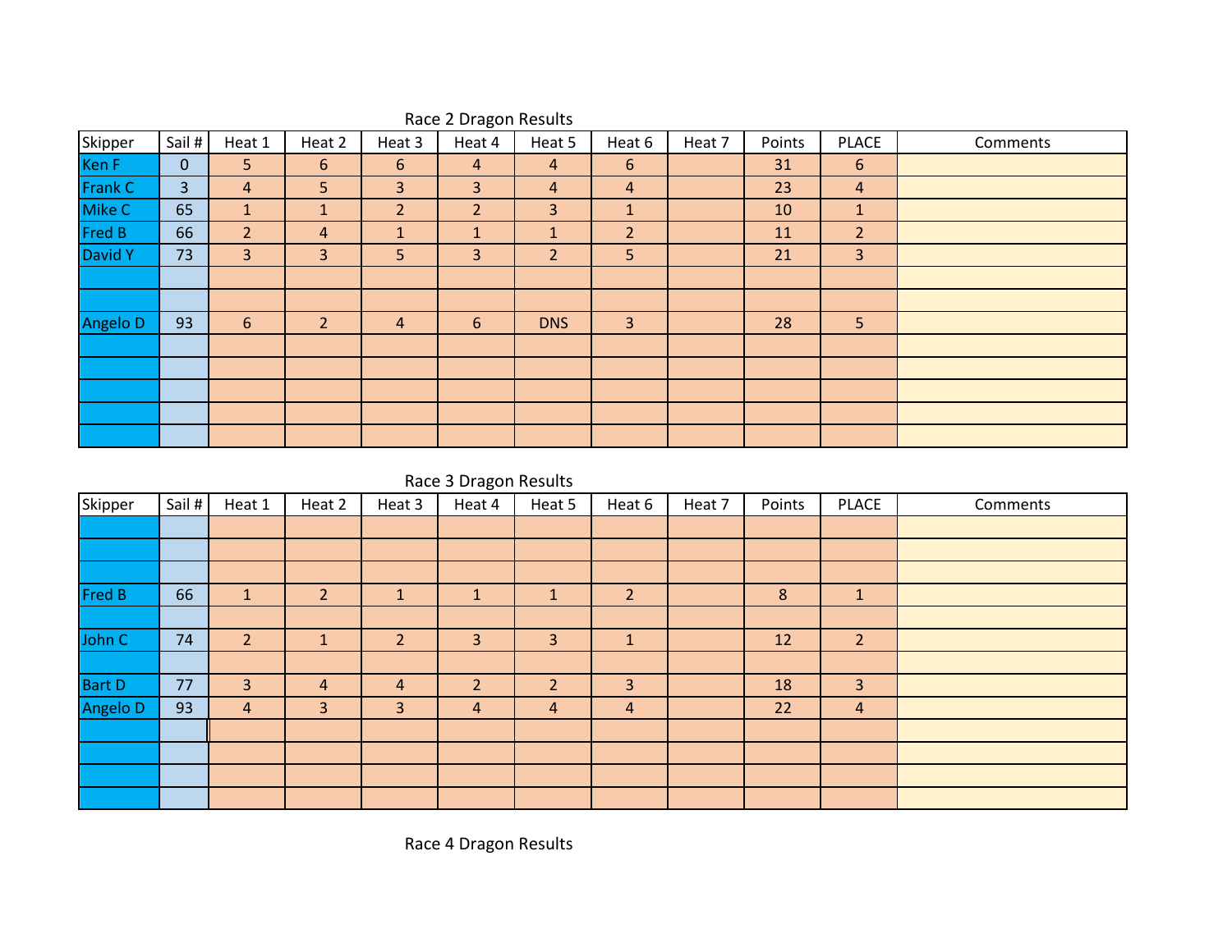| Skipper  | Sail #       | Heat 1         | Heat 2          | Heat 3         | $\tilde{}$<br>Heat 4 | Heat 5         | Heat 6         | Heat 7 | Points | <b>PLACE</b>    | Comments |
|----------|--------------|----------------|-----------------|----------------|----------------------|----------------|----------------|--------|--------|-----------------|----------|
| Ken F    | $\mathbf{0}$ | 5 <sup>1</sup> | $6\phantom{1}6$ | 6              | $\overline{a}$       | $\overline{4}$ | 6              |        | 31     | $6\phantom{1}6$ |          |
| Frank C  | 3            | 4              | 5 <sup>5</sup>  | 3              | 3                    | 4              | $\overline{a}$ |        | 23     | 4               |          |
| Mike C   | 65           | $\mathbf{1}$   | $\mathbf{1}$    | $\overline{2}$ | $\overline{2}$       | 3              | $\mathbf{1}$   |        | 10     | $\mathbf{1}$    |          |
| Fred B   | 66           | $\overline{2}$ | $\overline{4}$  | 1              | $\mathbf{I}$         | $\mathbf{1}$   | $\overline{2}$ |        | 11     | $\overline{2}$  |          |
| David Y  | 73           | 3              | 3               | 5              | 3                    | $\overline{2}$ | 5              |        | 21     | $\overline{3}$  |          |
|          |              |                |                 |                |                      |                |                |        |        |                 |          |
|          |              |                |                 |                |                      |                |                |        |        |                 |          |
| Angelo D | 93           | 6              | $\overline{2}$  | 4              | 6                    | <b>DNS</b>     | 3              |        | 28     | 5 <sup>1</sup>  |          |
|          |              |                |                 |                |                      |                |                |        |        |                 |          |
|          |              |                |                 |                |                      |                |                |        |        |                 |          |
|          |              |                |                 |                |                      |                |                |        |        |                 |          |
|          |              |                |                 |                |                      |                |                |        |        |                 |          |
|          |              |                |                 |                |                      |                |                |        |        |                 |          |

## Race 2 Dragon Results

Race 3 Dragon Results

| Skipper       | Sail # | Heat 1         | Heat 2         | Heat 3         | Heat 4       | Heat 5         | Heat 6         | Heat 7 | Points | <b>PLACE</b>   | Comments |
|---------------|--------|----------------|----------------|----------------|--------------|----------------|----------------|--------|--------|----------------|----------|
|               |        |                |                |                |              |                |                |        |        |                |          |
|               |        |                |                |                |              |                |                |        |        |                |          |
|               |        |                |                |                |              |                |                |        |        |                |          |
| <b>Fred B</b> | 66     | $\mathbf{1}$   | $\overline{2}$ | л.             | $\mathbf{1}$ | $\mathbf{1}$   | $\overline{2}$ |        | 8      | $\mathbf{1}$   |          |
|               |        |                |                |                |              |                |                |        |        |                |          |
| John C        | 74     | $\overline{2}$ | $\mathbf{1}$   | $\overline{2}$ | 3            | $\overline{3}$ | $\mathbf{1}$   |        | 12     | $\overline{2}$ |          |
|               |        |                |                |                |              |                |                |        |        |                |          |
| <b>Bart D</b> | 77     | 3              | $\overline{4}$ | $\overline{4}$ | 2            | $\overline{2}$ | 3              |        | 18     | $\overline{3}$ |          |
| Angelo D      | 93     | $\overline{4}$ | 3              | 3              | 4            | $\overline{4}$ | 4              |        | 22     | 4              |          |
|               |        |                |                |                |              |                |                |        |        |                |          |
|               |        |                |                |                |              |                |                |        |        |                |          |
|               |        |                |                |                |              |                |                |        |        |                |          |
|               |        |                |                |                |              |                |                |        |        |                |          |

Race 4 Dragon Results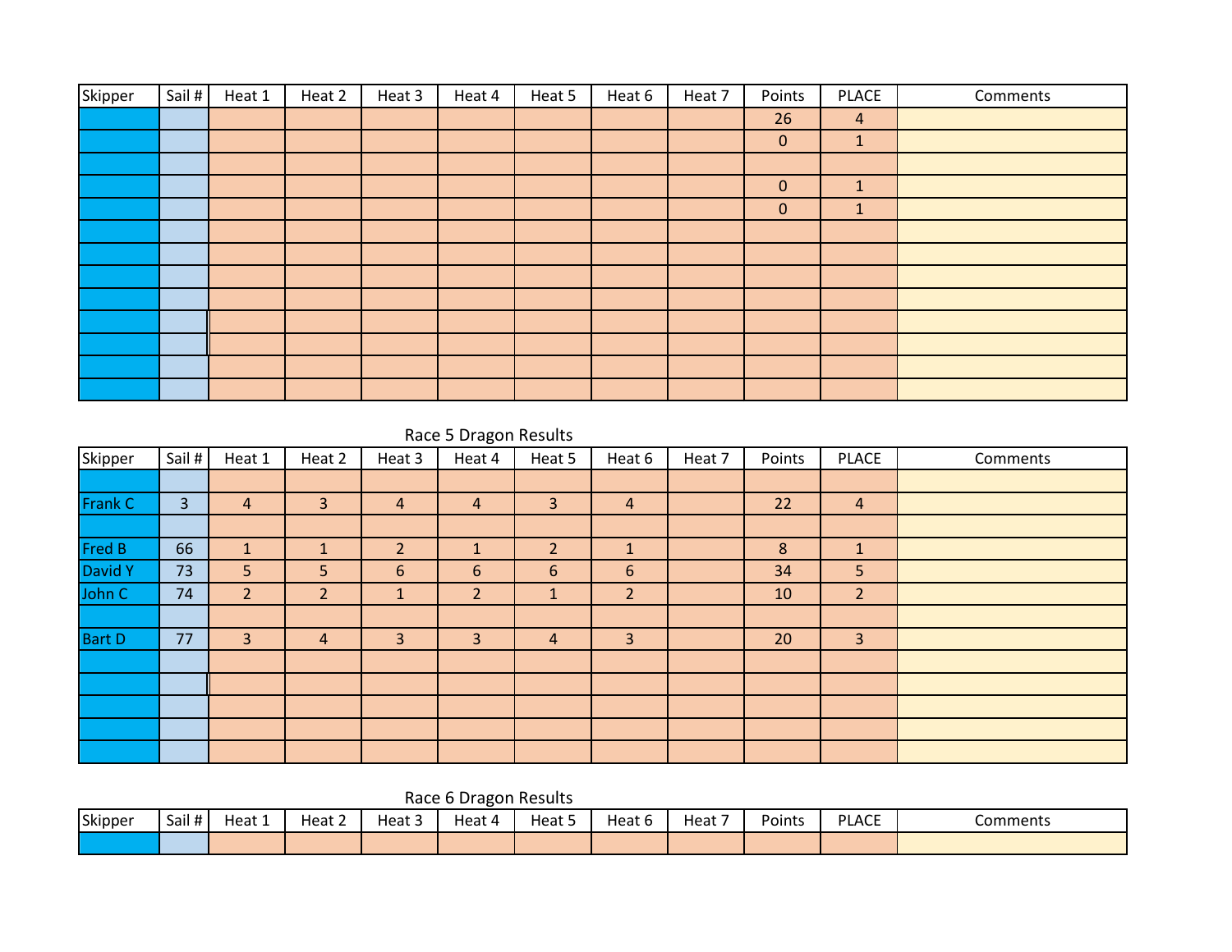| Skipper | Sail # | Heat 1 | Heat 2 | Heat 3 | Heat 4 | Heat 5 | Heat 6 | Heat 7 | Points       | PLACE          | Comments |
|---------|--------|--------|--------|--------|--------|--------|--------|--------|--------------|----------------|----------|
|         |        |        |        |        |        |        |        |        | 26           | $\overline{4}$ |          |
|         |        |        |        |        |        |        |        |        | $\mathbf{0}$ | $\mathbf{1}$   |          |
|         |        |        |        |        |        |        |        |        |              |                |          |
|         |        |        |        |        |        |        |        |        | $\mathbf{0}$ | $\mathbf{1}$   |          |
|         |        |        |        |        |        |        |        |        | $\mathbf{0}$ | $\mathbf{1}$   |          |
|         |        |        |        |        |        |        |        |        |              |                |          |
|         |        |        |        |        |        |        |        |        |              |                |          |
|         |        |        |        |        |        |        |        |        |              |                |          |
|         |        |        |        |        |        |        |        |        |              |                |          |
|         |        |        |        |        |        |        |        |        |              |                |          |
|         |        |        |        |        |        |        |        |        |              |                |          |
|         |        |        |        |        |        |        |        |        |              |                |          |
|         |        |        |        |        |        |        |        |        |              |                |          |

## Race 5 Dragon Results

| Skipper        | Sail # | Heat 1         | Heat 2         | Heat 3         | -<br>Heat 4    | Heat 5         | Heat 6         | Heat 7 | Points | <b>PLACE</b>   | Comments |
|----------------|--------|----------------|----------------|----------------|----------------|----------------|----------------|--------|--------|----------------|----------|
|                |        |                |                |                |                |                |                |        |        |                |          |
| <b>Frank C</b> | 3      | $\overline{4}$ | 3              | $\overline{a}$ | $\overline{4}$ | 3              | $\overline{4}$ |        | 22     | $\overline{4}$ |          |
|                |        |                |                |                |                |                |                |        |        |                |          |
| Fred B         | 66     | $\mathbf{1}$   | $\mathbf{1}$   | $\overline{2}$ | $\mathbf{1}$   | $\overline{2}$ | $\mathbf{1}$   |        | 8      | $\mathbf{1}$   |          |
| David Y        | 73     | 5              | 5              | 6              | 6              | 6              | 6              |        | 34     | 5              |          |
| John C         | 74     | $\overline{2}$ | $\overline{2}$ | $\mathbf{1}$   | $\overline{2}$ | Ŧ.             | $\overline{2}$ |        | 10     | $\overline{2}$ |          |
|                |        |                |                |                |                |                |                |        |        |                |          |
| <b>Bart D</b>  | 77     | 3              | $\overline{4}$ | 3              | 3              | $\overline{4}$ | 3              |        | 20     | $\overline{3}$ |          |
|                |        |                |                |                |                |                |                |        |        |                |          |
|                |        |                |                |                |                |                |                |        |        |                |          |
|                |        |                |                |                |                |                |                |        |        |                |          |
|                |        |                |                |                |                |                |                |        |        |                |          |
|                |        |                |                |                |                |                |                |        |        |                |          |

Race 6 Dragon Results

| Skipper | Sail# | Heat 1 | $\overline{\phantom{a}}$<br>Heat 2 | $\sim$<br>Heat - | Heat | Heat 5 | Heat 6 | –<br>Heat | Points | <b>PLACE</b> | Comments |
|---------|-------|--------|------------------------------------|------------------|------|--------|--------|-----------|--------|--------------|----------|
|         |       |        |                                    |                  |      |        |        |           |        |              |          |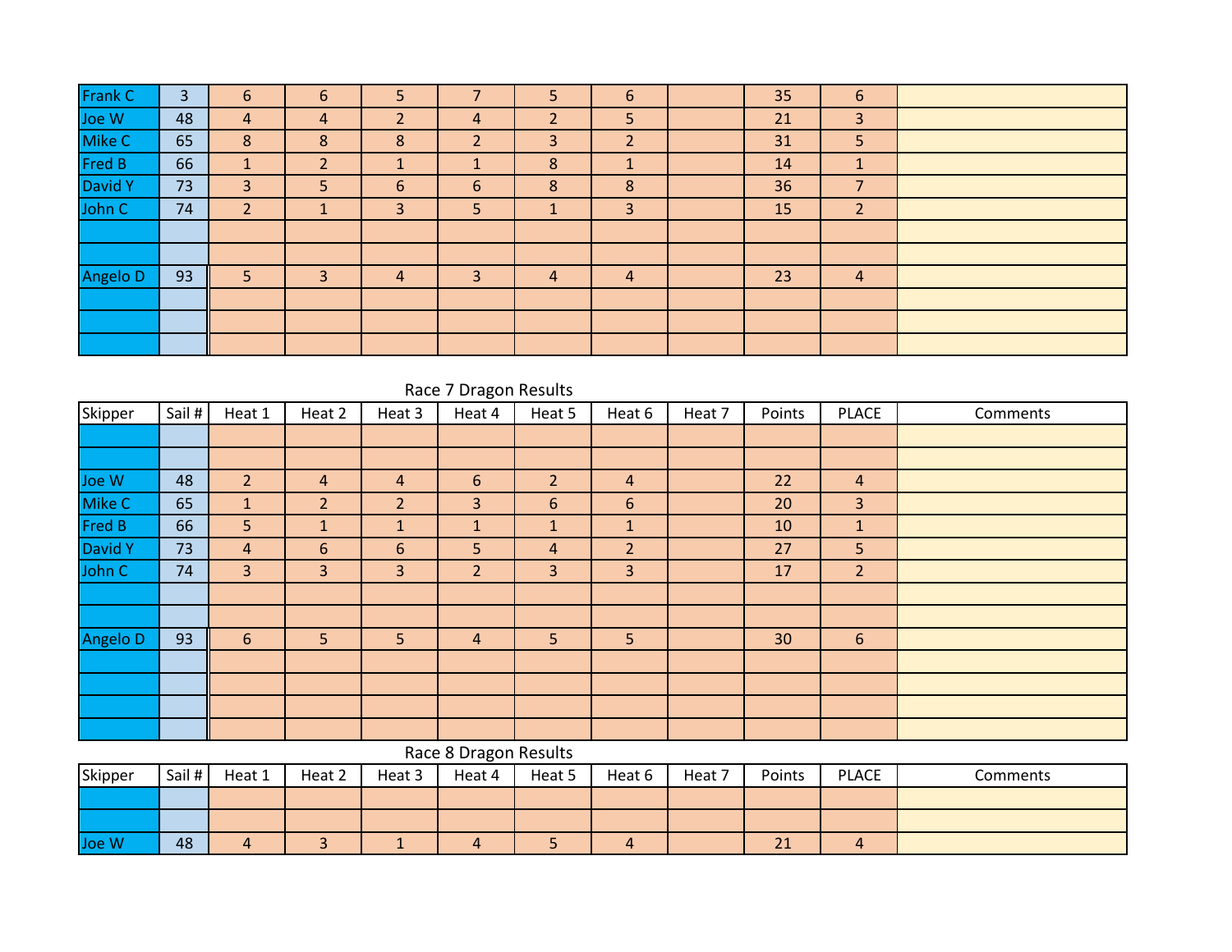| Frank C  | 3  | 6              | 6 | 5              |                | 5              | 6              | 35 | 6              |  |
|----------|----|----------------|---|----------------|----------------|----------------|----------------|----|----------------|--|
| Joe W    | 48 | 4              | 4 | 2              | 4              | $\overline{2}$ | 5              | 21 | $\overline{3}$ |  |
| Mike C   | 65 | 8              | 8 | 8              | $\overline{2}$ | 3              | $\overline{2}$ | 31 | 5              |  |
| Fred B   | 66 | 1<br>ш.        | 2 | 1              | 1              | 8              | ш.             | 14 | 1              |  |
| David Y  | 73 | 3              | 5 | 6              | 6              | 8              | 8              | 36 | 7              |  |
| John C   | 74 | $\overline{2}$ |   | 3              | 5              |                | 3              | 15 | $\overline{2}$ |  |
|          |    |                |   |                |                |                |                |    |                |  |
|          |    |                |   |                |                |                |                |    |                |  |
| Angelo D | 93 | 5              | 3 | $\overline{4}$ | 3              | 4              | $\overline{4}$ | 23 | $\overline{4}$ |  |
|          |    |                |   |                |                |                |                |    |                |  |
|          |    |                |   |                |                |                |                |    |                |  |
|          |    |                |   |                |                |                |                |    |                |  |

|                | Race 7 Dragon Results |                |                |                |                       |                |                |          |               |                  |          |  |  |  |  |
|----------------|-----------------------|----------------|----------------|----------------|-----------------------|----------------|----------------|----------|---------------|------------------|----------|--|--|--|--|
| Skipper        | Sail #                | Heat 1         | Heat 2         | Heat 3         | Heat 4                | Heat 5         | Heat 6         | Heat 7   | Points        | <b>PLACE</b>     | Comments |  |  |  |  |
|                |                       |                |                |                |                       |                |                |          |               |                  |          |  |  |  |  |
|                |                       |                |                |                |                       |                |                |          |               |                  |          |  |  |  |  |
| Joe W          | 48                    | $\overline{2}$ | 4              | 4              | 6                     | $\overline{2}$ | $\overline{a}$ |          | 22            | 4                |          |  |  |  |  |
| Mike C         | 65                    | $\mathbf{1}$   | $\overline{2}$ | $\overline{2}$ | 3                     | 6              | 6              |          | 20            | 3                |          |  |  |  |  |
| Fred B         | 66                    | 5              | $\mathbf{1}$   | $\mathbf{1}$   | 1                     | $\mathbf{1}$   | $\mathbf{1}$   |          | 10            | $\mathbf{1}$     |          |  |  |  |  |
| <b>David Y</b> | 73                    | $\overline{4}$ | $6\phantom{1}$ | 6              | 5                     | $\overline{4}$ | $\overline{2}$ |          | 27            | 5                |          |  |  |  |  |
| John C         | 74                    | $\overline{3}$ | 3              | $\overline{3}$ | $\overline{2}$        | 3              | $\overline{3}$ |          | 17            | $\overline{2}$   |          |  |  |  |  |
|                |                       |                |                |                |                       |                |                |          |               |                  |          |  |  |  |  |
|                |                       |                |                |                |                       |                |                |          |               |                  |          |  |  |  |  |
| Angelo D       | 93                    | 6              | 5              | 5              | 4                     | 5              | 5              |          | 30            | $\boldsymbol{6}$ |          |  |  |  |  |
|                |                       |                |                |                |                       |                |                |          |               |                  |          |  |  |  |  |
|                |                       |                |                |                |                       |                |                |          |               |                  |          |  |  |  |  |
|                |                       |                |                |                |                       |                |                |          |               |                  |          |  |  |  |  |
|                |                       |                |                |                |                       |                |                |          |               |                  |          |  |  |  |  |
|                |                       |                |                |                | Race 8 Dragon Results |                |                |          |               |                  |          |  |  |  |  |
| Skinner        | Sail $\pm$ $\vert$    | $H$ at 1       | $H$ at $2$     | $H$ at 3       | $H$ eat $\Lambda$     | Heat 5         | $H$ at 6       | $H$ at 7 | <b>Points</b> | PI ACF           | Comments |  |  |  |  |

| Skipper | Sail # | Heat 1 | Heat 2 | Heat 3 | Heat 4 | Heat 5 | Heat 6 | Heat 7 | Points   | PLACE          | Comments |
|---------|--------|--------|--------|--------|--------|--------|--------|--------|----------|----------------|----------|
|         |        |        |        |        |        |        |        |        |          |                |          |
|         |        |        |        |        |        |        |        |        |          |                |          |
| Joe W   | 48     |        |        |        | 4      |        |        |        | 71<br>2T | $\overline{a}$ |          |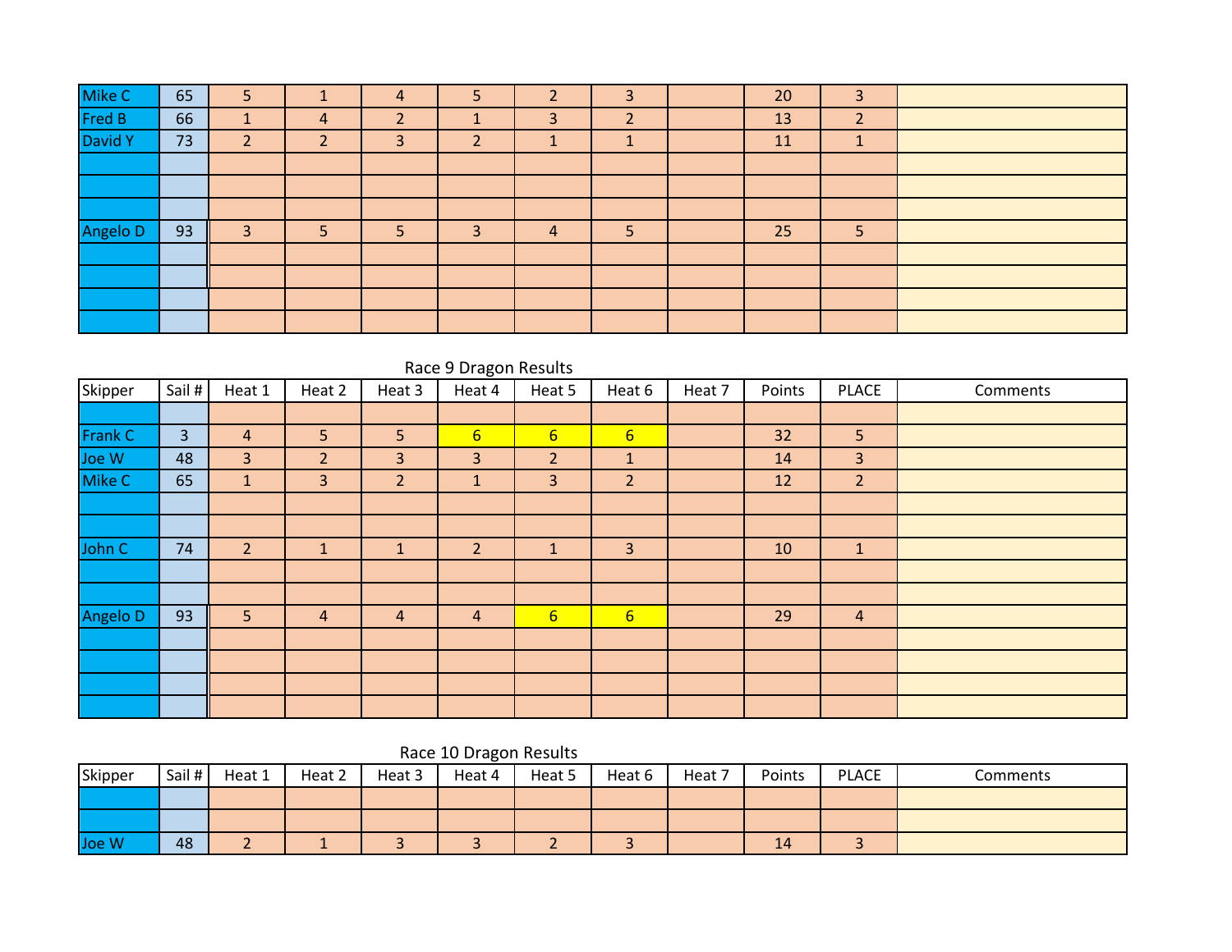| Mike C        | 65 | 5      |   | 4 | 5 |   | ∍                        | 20 | 3                 |  |
|---------------|----|--------|---|---|---|---|--------------------------|----|-------------------|--|
| <b>Fred B</b> | 66 |        | 4 |   |   | 3 | $\overline{\phantom{a}}$ | 13 | $\mathbf{D}$<br>∠ |  |
| David Y       | 73 | ำ<br>∠ |   | 3 | ∠ |   |                          | 11 |                   |  |
|               |    |        |   |   |   |   |                          |    |                   |  |
|               |    |        |   |   |   |   |                          |    |                   |  |
|               |    |        |   |   |   |   |                          |    |                   |  |
| Angelo D      | 93 | 3      | 5 |   | 3 | 4 |                          | 25 | 5                 |  |
|               |    |        |   |   |   |   |                          |    |                   |  |
|               |    |        |   |   |   |   |                          |    |                   |  |
|               |    |        |   |   |   |   |                          |    |                   |  |
|               |    |        |   |   |   |   |                          |    |                   |  |

|          | Race 9 Dragon Results |                |                |                |                 |                  |                  |        |        |                |          |  |  |  |  |
|----------|-----------------------|----------------|----------------|----------------|-----------------|------------------|------------------|--------|--------|----------------|----------|--|--|--|--|
| Skipper  | Sail#                 | Heat 1         | Heat 2         | Heat 3         | Heat 4          | Heat 5           | Heat 6           | Heat 7 | Points | <b>PLACE</b>   | Comments |  |  |  |  |
|          |                       |                |                |                |                 |                  |                  |        |        |                |          |  |  |  |  |
| Frank C  | 3                     | 4              | 5              | 5              | $6 \overline{}$ | $6 \overline{6}$ | $6 \overline{6}$ |        | 32     | 5              |          |  |  |  |  |
| Joe W    | 48                    | 3              | $\overline{2}$ | 3              | 3               | $\overline{2}$   | $\mathbf{1}$     |        | 14     | $\overline{3}$ |          |  |  |  |  |
| Mike C   | 65                    |                | 3              | $\overline{2}$ | $\mathbf{1}$    | 3                | $\overline{2}$   |        | 12     | $\overline{2}$ |          |  |  |  |  |
|          |                       |                |                |                |                 |                  |                  |        |        |                |          |  |  |  |  |
|          |                       |                |                |                |                 |                  |                  |        |        |                |          |  |  |  |  |
| John C   | 74                    | $\overline{2}$ | $\mathbf{1}$   |                | $\overline{2}$  | $\mathbf{1}$     | 3                |        | 10     | $\mathbf{1}$   |          |  |  |  |  |
|          |                       |                |                |                |                 |                  |                  |        |        |                |          |  |  |  |  |
|          |                       |                |                |                |                 |                  |                  |        |        |                |          |  |  |  |  |
| Angelo D | 93                    | 5              | $\overline{4}$ | 4              | 4               | $6 \overline{6}$ | $6 \overline{}$  |        | 29     | $\overline{4}$ |          |  |  |  |  |
|          |                       |                |                |                |                 |                  |                  |        |        |                |          |  |  |  |  |
|          |                       |                |                |                |                 |                  |                  |        |        |                |          |  |  |  |  |
|          |                       |                |                |                |                 |                  |                  |        |        |                |          |  |  |  |  |
|          |                       |                |                |                |                 |                  |                  |        |        |                |          |  |  |  |  |

## Race 10 Dragon Results

| Skipper | Sail # | Heat 1 | Heat 2 | Heat 3 | Heat 4 | Heat 5 | Heat 6 | Heat 7 | Points | <b>PLACE</b> | Comments |
|---------|--------|--------|--------|--------|--------|--------|--------|--------|--------|--------------|----------|
|         |        |        |        |        |        |        |        |        |        |              |          |
|         |        |        |        |        |        |        |        |        |        |              |          |
| Joe W   | 48     |        |        |        |        |        |        |        | 14     | $\sim$       |          |